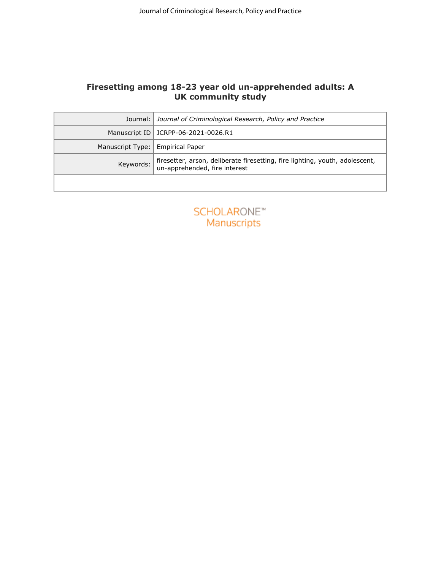# **Firesetting among 18-23 year old un-apprehended adults: A UK community study**

| Firesetting among 18-23 year old un-apprehended adults: A<br><b>UK community study</b><br>Journal: Journal of Criminological Research, Policy and Practice<br>Manuscript ID   JCRPP-06-2021-0026.R1<br>Manuscript Type:<br><b>Empirical Paper</b><br>Keywords:<br>un-apprehended, fire interest<br><b>SCHOLARONE™</b><br>Manuscripts | Journal of Criminological Research, Policy and Practice                      |
|--------------------------------------------------------------------------------------------------------------------------------------------------------------------------------------------------------------------------------------------------------------------------------------------------------------------------------------|------------------------------------------------------------------------------|
|                                                                                                                                                                                                                                                                                                                                      |                                                                              |
|                                                                                                                                                                                                                                                                                                                                      |                                                                              |
|                                                                                                                                                                                                                                                                                                                                      |                                                                              |
|                                                                                                                                                                                                                                                                                                                                      |                                                                              |
|                                                                                                                                                                                                                                                                                                                                      |                                                                              |
|                                                                                                                                                                                                                                                                                                                                      |                                                                              |
|                                                                                                                                                                                                                                                                                                                                      |                                                                              |
|                                                                                                                                                                                                                                                                                                                                      | firesetter, arson, deliberate firesetting, fire lighting, youth, adolescent, |
|                                                                                                                                                                                                                                                                                                                                      |                                                                              |
|                                                                                                                                                                                                                                                                                                                                      |                                                                              |
|                                                                                                                                                                                                                                                                                                                                      |                                                                              |
|                                                                                                                                                                                                                                                                                                                                      |                                                                              |
|                                                                                                                                                                                                                                                                                                                                      |                                                                              |
|                                                                                                                                                                                                                                                                                                                                      |                                                                              |
|                                                                                                                                                                                                                                                                                                                                      |                                                                              |
|                                                                                                                                                                                                                                                                                                                                      |                                                                              |
|                                                                                                                                                                                                                                                                                                                                      |                                                                              |
|                                                                                                                                                                                                                                                                                                                                      |                                                                              |
|                                                                                                                                                                                                                                                                                                                                      |                                                                              |
|                                                                                                                                                                                                                                                                                                                                      |                                                                              |
|                                                                                                                                                                                                                                                                                                                                      |                                                                              |
|                                                                                                                                                                                                                                                                                                                                      |                                                                              |
|                                                                                                                                                                                                                                                                                                                                      |                                                                              |
|                                                                                                                                                                                                                                                                                                                                      |                                                                              |
|                                                                                                                                                                                                                                                                                                                                      |                                                                              |
|                                                                                                                                                                                                                                                                                                                                      |                                                                              |
|                                                                                                                                                                                                                                                                                                                                      |                                                                              |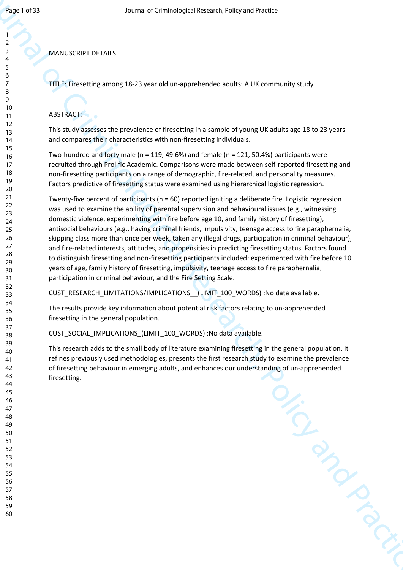### MANUSCRIPT DETAILS

TITLE: Firesetting among 18-23 year old un-apprehended adults: A UK community study

## ABSTRACT:

This study assesses the prevalence of firesetting in a sample of young UK adults age 18 to 23 years and compares their characteristics with non-firesetting individuals.

Two-hundred and forty male (n = 119, 49.6%) and female (n = 121, 50.4%) participants were recruited through Prolific Academic. Comparisons were made between self-reported firesetting and non-firesetting participants on a range of demographic, fire-related, and personality measures. Factors predictive of firesetting status were examined using hierarchical logistic regression.

Agricus Commutation Commutation Commutation Commutation Commutation Commutation Commutation Commutation Commutation Commutation Criminal Commutation Commutation Commutation Commutation Commutation Commutation Commutation Twenty-five percent of participants ( $n = 60$ ) reported igniting a deliberate fire. Logistic regression was used to examine the ability of parental supervision and behavioural issues (e.g., witnessing domestic violence, experimenting with fire before age 10, and family history of firesetting), antisocial behaviours (e.g., having criminal friends, impulsivity, teenage access to fire paraphernalia, skipping class more than once per week, taken any illegal drugs, participation in criminal behaviour), and fire-related interests, attitudes, and propensities in predicting firesetting status. Factors found to distinguish firesetting and non-firesetting participants included: experimented with fire before 10 years of age, family history of firesetting, impulsivity, teenage access to fire paraphernalia, participation in criminal behaviour, and the Fire Setting Scale.

CUST\_RESEARCH\_LIMITATIONS/IMPLICATIONS \_(LIMIT\_100\_WORDS) :No data available.

The results provide key information about potential risk factors relating to un-apprehended firesetting in the general population.

CUST\_SOCIAL\_IMPLICATIONS\_(LIMIT\_100\_WORDS) :No data available.

This research adds to the small body of literature examining firesetting in the general population. It refines previously used methodologies, presents the first research study to examine the prevalence of firesetting behaviour in emerging adults, and enhances our understanding of un-apprehended firesetting.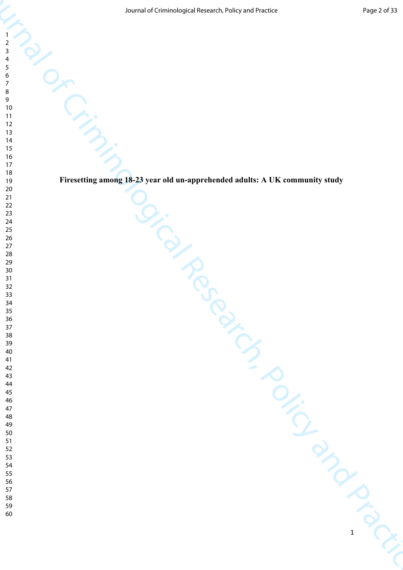**Firesetting among 18-23 year old un-apprehended adults: A UK community study**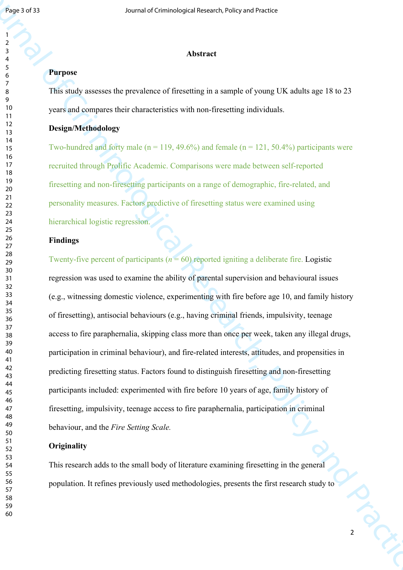### **Abstract**

# **Purpose**

This study assesses the prevalence of firesetting in a sample of young UK adults age 18 to 23 years and compares their characteristics with non-firesetting individuals.

### **Design/Methodology**

Two-hundred and forty male ( $n = 119, 49.6\%$ ) and female ( $n = 121, 50.4\%$ ) participants were recruited through Prolific Academic. Comparisons were made between self-reported firesetting and non-firesetting participants on a range of demographic, fire-related, and personality measures. Factors predictive of firesetting status were examined using hierarchical logistic regression.

# **Findings**

**For a state of Criminological Research Control and Control and Criminal Control and Criminal Control and Criminal of Criminal of Criminal of Criminal Section 2014 (Figure 1) The Control and Practice Criminal Control and** Twenty-five percent of participants ( $n = 60$ ) reported igniting a deliberate fire. Logistic regression was used to examine the ability of parental supervision and behavioural issues (e.g., witnessing domestic violence, experimenting with fire before age 10, and family history of firesetting), antisocial behaviours (e.g., having criminal friends, impulsivity, teenage access to fire paraphernalia, skipping class more than once per week, taken any illegal drugs, participation in criminal behaviour), and fire-related interests, attitudes, and propensities in predicting firesetting status. Factors found to distinguish firesetting and non-firesetting participants included: experimented with fire before 10 years of age, family history of firesetting, impulsivity, teenage access to fire paraphernalia, participation in criminal behaviour, and the *Fire Setting Scale.* 

## **Originality**

This research adds to the small body of literature examining firesetting in the general population. It refines previously used methodologies, presents the first research study to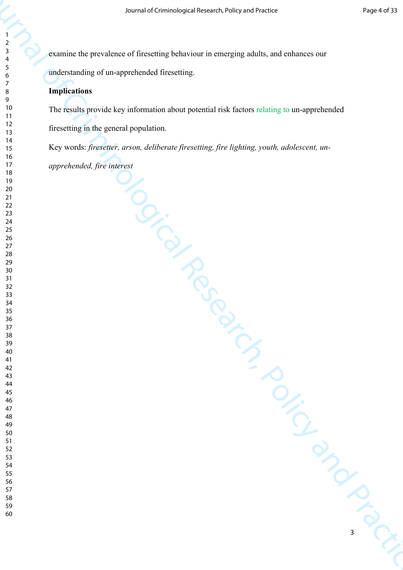examine the prevalence of firesetting behaviour in emerging adults, and enhances our understanding of un-apprehended firesetting.

# **Implications**

sound of Criminological Research of Criminal of Criminal Control and Practice and Practice Control of Criminal Control and Practice and Practice and Practice Control of Criminal Control of The Criminal Control of The Crimi The results provide key information about potential risk factors relating to un-apprehended firesetting in the general population.

Key words: *firesetter, arson, deliberate firesetting, fire lighting, youth, adolescent, unapprehended, fire interest*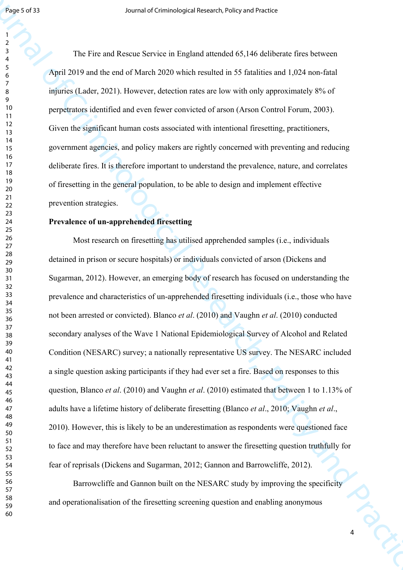The Fire and Rescue Service in England attended 65,146 deliberate fires between April 2019 and the end of March 2020 which resulted in 55 fatalities and 1,024 non-fatal injuries (Lader, 2021). However, detection rates are low with only approximately 8% of perpetrators identified and even fewer convicted of arson (Arson Control Forum, 2003). Given the significant human costs associated with intentional firesetting, practitioners, government agencies, and policy makers are rightly concerned with preventing and reducing deliberate fires. It is therefore important to understand the prevalence, nature, and correlates of firesetting in the general population, to be able to design and implement effective prevention strategies.

## **Prevalence of un-apprehended firesetting**

**For a state of Criminological Research Excited State Constraints and Criminal Criminal Criminal Criminal Criminal Criminal Criminal Criminal Criminal Criminal Criminal Criminal Criminal Criminal Criminal Criminal Crimina** Most research on firesetting has utilised apprehended samples (i.e., individuals detained in prison or secure hospitals) or individuals convicted of arson (Dickens and Sugarman, 2012). However, an emerging body of research has focused on understanding the prevalence and characteristics of un-apprehended firesetting individuals (i.e., those who have not been arrested or convicted). Blanco *et al*. (2010) and Vaughn *et al*. (2010) conducted secondary analyses of the Wave 1 National Epidemiological Survey of Alcohol and Related Condition (NESARC) survey; a nationally representative US survey. The NESARC included a single question asking participants if they had ever set a fire. Based on responses to this question, Blanco *et al*. (2010) and Vaughn *et al*. (2010) estimated that between 1 to 1.13% of adults have a lifetime history of deliberate firesetting (Blanco *et al*., 2010; Vaughn *et al*., 2010). However, this is likely to be an underestimation as respondents were questioned face to face and may therefore have been reluctant to answer the firesetting question truthfully for fear of reprisals (Dickens and Sugarman, 2012; Gannon and Barrowcliffe, 2012).

Barrowcliffe and Gannon built on the NESARC study by improving the specificity and operationalisation of the firesetting screening question and enabling anonymous

COLS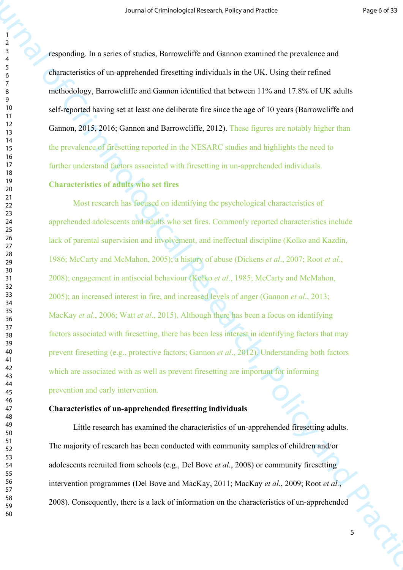responding. In a series of studies, Barrowcliffe and Gannon examined the prevalence and characteristics of un-apprehended firesetting individuals in the UK. Using their refined methodology, Barrowcliffe and Gannon identified that between 11% and 17.8% of UK adults self-reported having set at least one deliberate fire since the age of 10 years (Barrowcliffe and Gannon, 2015, 2016; Gannon and Barrowcliffe, 2012). These figures are notably higher than the prevalence of firesetting reported in the NESARC studies and highlights the need to further understand factors associated with firesetting in un-apprehended individuals.

## **Characteristics of adults who set fires**

Source of Criminological Research of Criminological Research of the Criminal of the Criminal Criminal Criminal Criminal Criminal Criminal Criminal Criminal Criminal Criminal Criminal Criminal Criminal Criminal Criminal Cr Most research has focused on identifying the psychological characteristics of apprehended adolescents and adults who set fires. Commonly reported characteristics include lack of parental supervision and involvement, and ineffectual discipline (Kolko and Kazdin, 1986; McCarty and McMahon, 2005); a history of abuse (Dickens *et al*., 2007; Root *et al*., 2008); engagement in antisocial behaviour (Kolko *et al*., 1985; McCarty and McMahon, 2005); an increased interest in fire, and increased levels of anger (Gannon *et al*., 2013; MacKay *et al*., 2006; Watt *et al*., 2015). Although there has been a focus on identifying factors associated with firesetting, there has been less interest in identifying factors that may prevent firesetting (e.g., protective factors; Gannon *et al*., 2012). Understanding both factors which are associated with as well as prevent firesetting are important for informing prevention and early intervention.

### **Characteristics of un-apprehended firesetting individuals**

Little research has examined the characteristics of un-apprehended firesetting adults. The majority of research has been conducted with community samples of children and/or adolescents recruited from schools (e.g., Del Bove *et al.*, 2008) or community firesetting intervention programmes (Del Bove and MacKay, 2011; MacKay *et al.*, 2009; Root *et al.*, 2008). Consequently, there is a lack of information on the characteristics of un-apprehended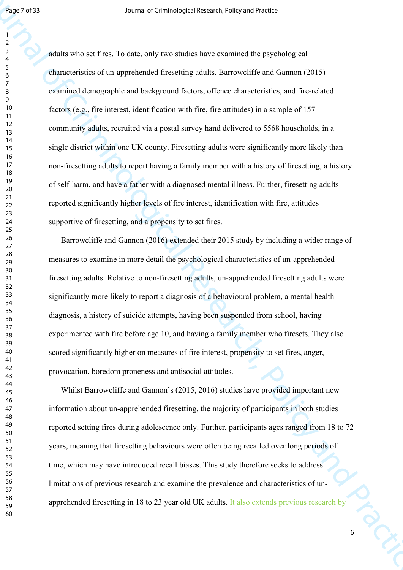**Figure 7:11** Sources of Criminological Masseles, voling and Practice Baseles Criminological Applications of Practice Criminological Applications of the Research Criminological Applications of the Criminological Applicati adults who set fires. To date, only two studies have examined the psychological characteristics of un-apprehended firesetting adults. Barrowcliffe and Gannon (2015) examined demographic and background factors, offence characteristics, and fire-related factors (e.g., fire interest, identification with fire, fire attitudes) in a sample of 157 community adults, recruited via a postal survey hand delivered to 5568 households, in a single district within one UK county. Firesetting adults were significantly more likely than non-firesetting adults to report having a family member with a history of firesetting, a history of self-harm, and have a father with a diagnosed mental illness. Further, firesetting adults reported significantly higher levels of fire interest, identification with fire, attitudes supportive of firesetting, and a propensity to set fires.

Barrowcliffe and Gannon (2016) extended their 2015 study by including a wider range of measures to examine in more detail the psychological characteristics of un-apprehended firesetting adults. Relative to non-firesetting adults, un-apprehended firesetting adults were significantly more likely to report a diagnosis of a behavioural problem, a mental health diagnosis, a history of suicide attempts, having been suspended from school, having experimented with fire before age 10, and having a family member who firesets. They also scored significantly higher on measures of fire interest, propensity to set fires, anger, provocation, boredom proneness and antisocial attitudes.

Whilst Barrowcliffe and Gannon's (2015, 2016) studies have provided important new information about un-apprehended firesetting, the majority of participants in both studies reported setting fires during adolescence only. Further, participants ages ranged from 18 to 72 years, meaning that firesetting behaviours were often being recalled over long periods of time, which may have introduced recall biases. This study therefore seeks to address limitations of previous research and examine the prevalence and characteristics of unapprehended firesetting in 18 to 23 year old UK adults. It also extends previous research by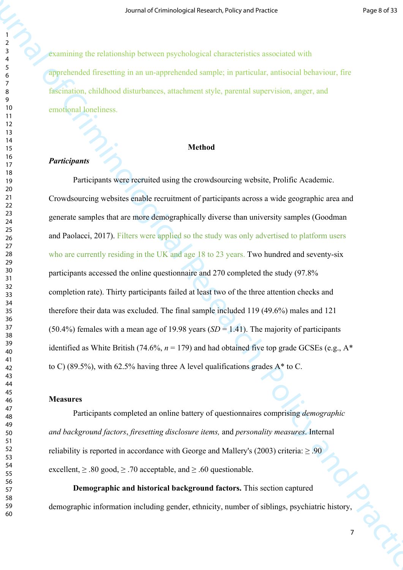examining the relationship between psychological characteristics associated with apprehended firesetting in an un-apprehended sample; in particular, antisocial behaviour, fire fascination, childhood disturbances, attachment style, parental supervision, anger, and emotional loneliness.

## **Method**

## *Participants*

Source of Criminological Research interactions of Criminological Research<br>
Sources of Companies (interaction in the Criminal of Criminal Science of the Criminal Science of the Criminal Science of Companies (interaction in Participants were recruited using the crowdsourcing website, Prolific Academic. Crowdsourcing websites enable recruitment of participants across a wide geographic area and generate samples that are more demographically diverse than university samples (Goodman and Paolacci, 2017). Filters were applied so the study was only advertised to platform users who are currently residing in the UK and age 18 to 23 years. Two hundred and seventy-six participants accessed the online questionnaire and 270 completed the study (97.8% completion rate). Thirty participants failed at least two of the three attention checks and therefore their data was excluded. The final sample included 119 (49.6%) males and 121 (50.4%) females with a mean age of 19.98 years  $(SD = 1.41)$ . The majority of participants identified as White British (74.6%,  $n = 179$ ) and had obtained five top grade GCSEs (e.g.,  $A^*$ to C) (89.5%), with 62.5% having three A level qualifications grades  $A^*$  to C.

## **Measures**

Participants completed an online battery of questionnaires comprising *demographic and background factors*, *firesetting disclosure items,* and *personality measures*. Internal reliability is reported in accordance with George and Mallery's (2003) criteria:  $> 0.90$ excellent,  $\geq 0.80$  good,  $\geq 0.70$  acceptable, and  $\geq 0.60$  questionable.

**Demographic and historical background factors.** This section captured demographic information including gender, ethnicity, number of siblings, psychiatric history,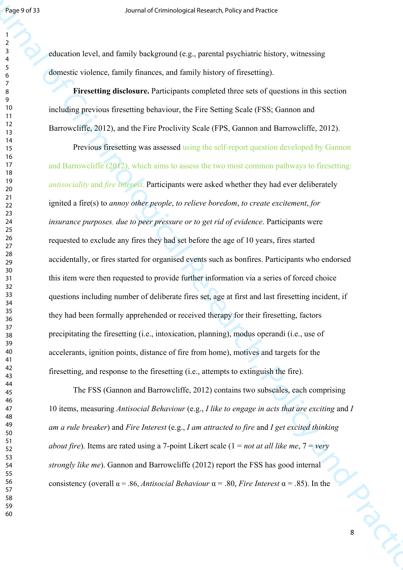education level, and family background (e.g., parental psychiatric history, witnessing domestic violence, family finances, and family history of firesetting).

**Firesetting disclosure.** Participants completed three sets of questions in this section including previous firesetting behaviour, the Fire Setting Scale (FSS; Gannon and Barrowcliffe, 2012), and the Fire Proclivity Scale (FPS, Gannon and Barrowcliffe, 2012).

**For each standard internal of Criminological Research in the control of Criminal Properties (Separate Schemes Control of Criminal Properties (Separate Schemes Control of Criminal Properties (Separate Schemes Control of C** Previous firesetting was assessed using the self-report question developed by Gannon and Barrowcliffe (2012), which aims to assess the two most common pathways to firesetting: *antisociality* and *fire interest*. Participants were asked whether they had ever deliberately ignited a fire(s) to *annoy other people*, *to relieve boredom*, *to create excitement*, *for insurance purposes, due to peer pressure or to get rid of evidence*. Participants were requested to exclude any fires they had set before the age of 10 years, fires started accidentally, or fires started for organised events such as bonfires. Participants who endorsed this item were then requested to provide further information via a series of forced choice questions including number of deliberate fires set, age at first and last firesetting incident, if they had been formally apprehended or received therapy for their firesetting, factors precipitating the firesetting (i.e., intoxication, planning), modus operandi (i.e., use of accelerants, ignition points, distance of fire from home), motives and targets for the firesetting, and response to the firesetting (i.e., attempts to extinguish the fire).

**PICS-8** The FSS (Gannon and Barrowcliffe, 2012) contains two subscales, each comprising 10 items, measuring *Antisocial Behaviour* (e.g., *I like to engage in acts that are exciting* and *I am a rule breaker*) and *Fire Interest* (e.g., *I am attracted to fire* and *I get excited thinking about fire*). Items are rated using a 7-point Likert scale (1 = *not at all like me*, 7 = *very strongly like me*). Gannon and Barrowcliffe (2012) report the FSS has good internal consistency (overall α = .86, *Antisocial Behaviour* α = .80, *Fire Interest* α = .85). In the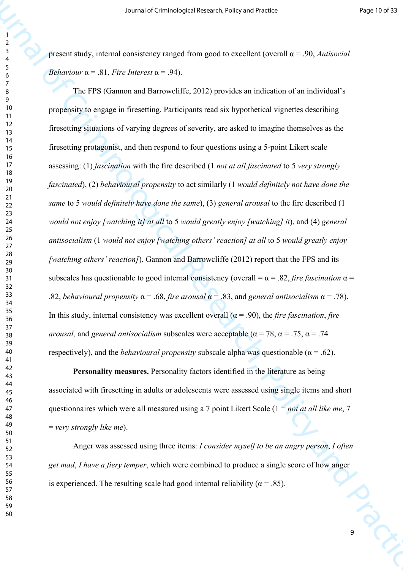present study, internal consistency ranged from good to excellent (overall α = .90, *Antisocial Behaviour*  $\alpha$  = .81, *Fire Interest*  $\alpha$  = .94).

Source of Criminological Research violing of a method in the Criminal Control of the Criminal Control of the Criminal Control of the Criminal Control of the Practice of Transmission of the Practice of Criminal Practice of The FPS (Gannon and Barrowcliffe, 2012) provides an indication of an individual's propensity to engage in firesetting. Participants read six hypothetical vignettes describing firesetting situations of varying degrees of severity, are asked to imagine themselves as the firesetting protagonist, and then respond to four questions using a 5-point Likert scale assessing: (1) *fascination* with the fire described (1 *not at all fascinated* to 5 *very strongly fascinated*), (2) *behavioural propensity* to act similarly (1 *would definitely not have done the same* to 5 *would definitely have done the same*), (3) *general arousal* to the fire described (1 *would not enjoy [watching it] at all* to 5 *would greatly enjoy [watching] it*), and (4) *general antisocialism* (1 *would not enjoy [watching others' reaction] at all* to 5 *would greatly enjoy [watching others' reaction]*). Gannon and Barrowcliffe (2012) report that the FPS and its subscales has questionable to good internal consistency (overall  $= \alpha = .82$ , *fire fascination*  $\alpha =$ .82, *behavioural propensity*  $\alpha$  = .68, *fire arousal*  $\alpha$  = .83, and *general antisocialism*  $\alpha$  = .78). In this study, internal consistency was excellent overall ( $\alpha$  = .90), the *fire fascination*, *fire arousal, and general antisocialism subscales were acceptable (* $\alpha$  *= 78,*  $\alpha$  *= .75,*  $\alpha$  *= .74* respectively), and the *behavioural propensity* subscale alpha was questionable ( $\alpha$  = .62).

**Personality measures.** Personality factors identified in the literature as being associated with firesetting in adults or adolescents were assessed using single items and short questionnaires which were all measured using a 7 point Likert Scale (1 = *not at all like me*, 7 = *very strongly like me*).

**PICO-**Anger was assessed using three items: *I consider myself to be an angry person*, *I often get mad*, *I have a fiery temper*, which were combined to produce a single score of how anger is experienced. The resulting scale had good internal reliability ( $\alpha$  = .85).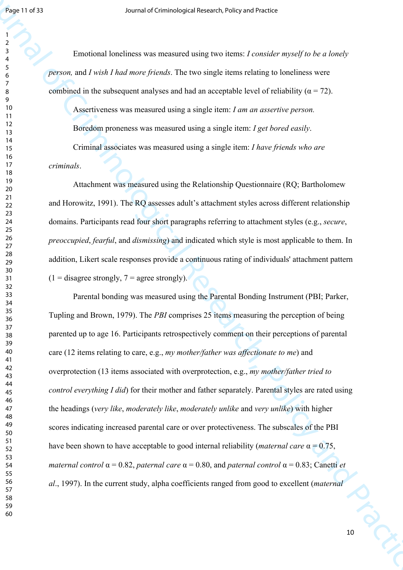Emotional loneliness was measured using two items: *I consider myself to be a lonely person,* and *I wish I had more friends*. The two single items relating to loneliness were combined in the subsequent analyses and had an acceptable level of reliability ( $\alpha = 72$ ).

Assertiveness was measured using a single item: *I am an assertive person.*

Boredom proneness was measured using a single item: *I get bored easily*.

Criminal associates was measured using a single item: *I have friends who are* 

*criminals*.

Attachment was measured using the Relationship Questionnaire (RQ; Bartholomew and Horowitz, 1991). The RQ assesses adult's attachment styles across different relationship domains. Participants read four short paragraphs referring to attachment styles (e.g., *secure*, *preoccupied*, *fearful*, and *dismissing*) and indicated which style is most applicable to them. In addition, Likert scale responses provide a continuous rating of individuals' attachment pattern  $(1 - \text{disagree strongly}, 7 - \text{agree strongly}).$ 

Figure 1993<br>
Journal of Criminological Research in the Constitution Research in the Solicity of Criminal Constitution<br>
Torothead In the subsequent tanky-to-said The sum single letters where  $\frac{1}{2}$ <br>
Solutions in the sub Parental bonding was measured using the Parental Bonding Instrument (PBI; Parker, Tupling and Brown, 1979). The *PBI* comprises 25 items measuring the perception of being parented up to age 16. Participants retrospectively comment on their perceptions of parental care (12 items relating to care, e.g., *my mother/father was affectionate to me*) and overprotection (13 items associated with overprotection, e.g., *my mother/father tried to control everything I did*) for their mother and father separately. Parental styles are rated using the headings (*very like*, *moderately like*, *moderately unlike* and *very unlike*) with higher scores indicating increased parental care or over protectiveness. The subscales of the PBI have been shown to have acceptable to good internal reliability (*maternal care* α = 0.75, *maternal control* α = 0.82, *paternal care* α = 0.80, and *paternal control* α = 0.83; Canetti *et al*., 1997). In the current study, alpha coefficients ranged from good to excellent (*maternal*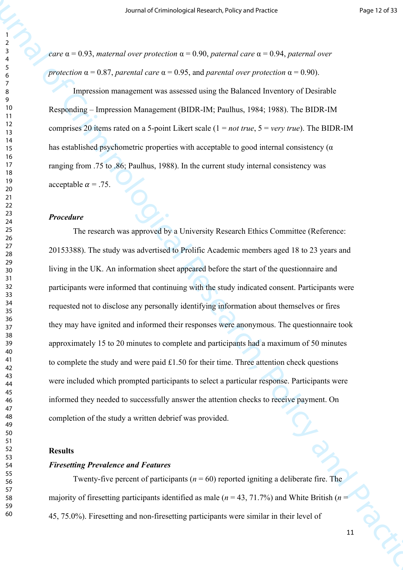*care* α = 0.93, *maternal over protection* α = 0.90, *paternal care* α = 0.94, *paternal over protection*  $\alpha = 0.87$ , *parental care*  $\alpha = 0.95$ , and *parental over protection*  $\alpha = 0.90$ .

Impression management was assessed using the Balanced Inventory of Desirable Responding – Impression Management (BIDR-IM; Paulhus, 1984; 1988). The BIDR-IM comprises 20 items rated on a 5-point Likert scale (1 = *not true*, 5 = *very true*). The BIDR-IM has established psychometric properties with acceptable to good internal consistency ( $\alpha$ ) ranging from .75 to .86; Paulhus, 1988). In the current study internal consistency was acceptable  $\alpha$  = .75.

#### *Procedure*

Source of Criminological Research violing of Criminological Research Criminal Criminal Criminal Criminal Criminal Criminal Criminal Criminal Criminal Criminal Criminal Criminal Criminal Criminal Criminal Criminal Criminal The research was approved by a University Research Ethics Committee (Reference: 20153388). The study was advertised to Prolific Academic members aged 18 to 23 years and living in the UK. An information sheet appeared before the start of the questionnaire and participants were informed that continuing with the study indicated consent. Participants were requested not to disclose any personally identifying information about themselves or fires they may have ignited and informed their responses were anonymous. The questionnaire took approximately 15 to 20 minutes to complete and participants had a maximum of 50 minutes to complete the study and were paid £1.50 for their time. Three attention check questions were included which prompted participants to select a particular response. Participants were informed they needed to successfully answer the attention checks to receive payment. On completion of the study a written debrief was provided.

### **Results**

### *Firesetting Prevalence and Features*

Twenty-five percent of participants ( $n = 60$ ) reported igniting a deliberate fire. The majority of firesetting participants identified as male ( $n = 43, 71.7\%$ ) and White British ( $n =$ 45, 75.0%). Firesetting and non-firesetting participants were similar in their level of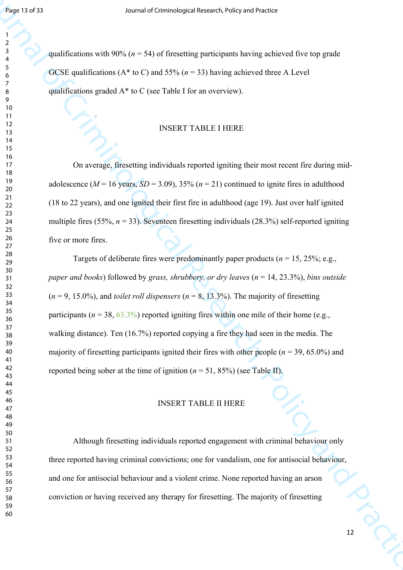qualifications with 90% ( $n = 54$ ) of firesetting participants having achieved five top grade GCSE qualifications ( $A^*$  to C) and 55% ( $n = 33$ ) having achieved three A Level qualifications graded A\* to C (see Table I for an overview).

#### INSERT TABLE I HERE

On average, firesetting individuals reported igniting their most recent fire during midadolescence ( $M = 16$  years,  $SD = 3.09$ ),  $35\%$  ( $n = 21$ ) continued to ignite fires in adulthood (18 to 22 years), and one ignited their first fire in adulthood (age 19). Just over half ignited multiple fires (55%,  $n = 33$ ). Seventeen firesetting individuals (28.3%) self-reported igniting five or more fires.

Figure 11 of 33<br>
Journal of Criminological Research violing continuous change of the criminal of the criminal of the Criminal Criminal Criminal Criminal Criminal Criminal Criminal Criminal Criminal Criminal Criminal Crimi Targets of deliberate fires were predominantly paper products ( $n = 15, 25\%$ ; e.g., *paper and books*) followed by *grass, shrubbery, or dry leaves* (*n* = 14, 23.3%), *bins outside*  $(n = 9, 15.0\%)$ , and *toilet roll dispensers*  $(n = 8, 13.3\%)$ . The majority of firesetting participants ( $n = 38$ ,  $63.3\%$ ) reported igniting fires within one mile of their home (e.g., walking distance). Ten (16.7%) reported copying a fire they had seen in the media. The majority of firesetting participants ignited their fires with other people ( $n = 39, 65.0\%$ ) and reported being sober at the time of ignition  $(n = 51, 85%)$  (see Table II).

## INSERT TABLE II HERE

Although firesetting individuals reported engagement with criminal behaviour only three reported having criminal convictions; one for vandalism, one for antisocial behaviour, and one for antisocial behaviour and a violent crime. None reported having an arson conviction or having received any therapy for firesetting. The majority of firesetting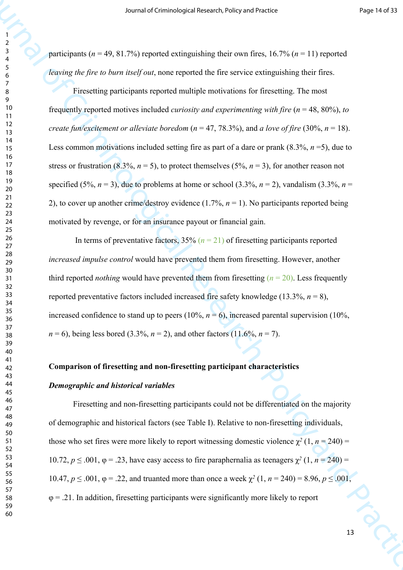participants ( $n = 49, 81.7\%$ ) reported extinguishing their own fires, 16.7% ( $n = 11$ ) reported *leaving the fire to burn itself out*, none reported the fire service extinguishing their fires.

Source of Criminological Research with performance (Victor of The 14.7% ( $p = 11$ ) represents the system of Criminological Research Criminological Research ( $\frac{2}{3}$ ) and  $\frac{2}{3}$ ) and  $\frac{2}{3}$  ( $\frac{2}{3}$ ) and  $\frac{2}{3}$ Firesetting participants reported multiple motivations for firesetting. The most frequently reported motives included *curiosity and experimenting with fire* (*n* = 48, 80%), *to create fun/excitement or alleviate boredom* ( $n = 47, 78.3\%$ ), and *a love of fire* (30%,  $n = 18$ ). Less common motivations included setting fire as part of a dare or prank (8.3%, *n* =5), due to stress or frustration (8.3%,  $n = 5$ ), to protect themselves (5%,  $n = 3$ ), for another reason not specified (5%,  $n = 3$ ), due to problems at home or school (3.3%,  $n = 2$ ), vandalism (3.3%,  $n =$ 2), to cover up another crime/destroy evidence (1.7%, *n* = 1). No participants reported being motivated by revenge, or for an insurance payout or financial gain.

In terms of preventative factors,  $35\%$  ( $n = 21$ ) of firesetting participants reported *increased impulse control* would have prevented them from firesetting. However, another third reported *nothing* would have prevented them from firesetting  $(n = 20)$ . Less frequently reported preventative factors included increased fire safety knowledge  $(13.3\%, n=8)$ , increased confidence to stand up to peers ( $10\%$ ,  $n = 6$ ), increased parental supervision ( $10\%$ ).  $n = 6$ ), being less bored (3.3%,  $n = 2$ ), and other factors (11.6%,  $n = 7$ ).

## **Comparison of firesetting and non-firesetting participant characteristics**

#### *Demographic and historical variables*

13 PC Firesetting and non-firesetting participants could not be differentiated on the majority of demographic and historical factors (see Table I). Relative to non-firesetting individuals, those who set fires were more likely to report witnessing domestic violence  $\chi^2(1, n = 240)$  = 10.72,  $p \le 0.001$ ,  $φ = 0.23$ , have easy access to fire paraphernalia as teenagers  $χ²(1, n = 240) =$ 10.47,  $p \le 0.001$ ,  $φ = 0.22$ , and truanted more than once a week  $χ²(1, n = 240) = 8.96$ ,  $p \le 0.001$ ,  $\varphi = 0.21$ . In addition, firesetting participants were significantly more likely to report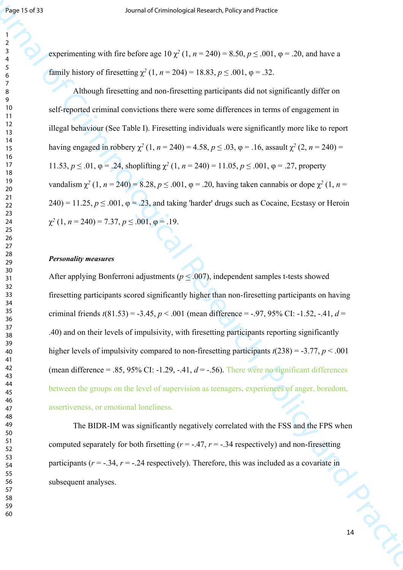experimenting with fire before age  $10 \chi^2 (1, n = 240) = 8.50, p \le .001, \varphi = .20$ , and have a family history of firesetting  $\chi^2$  (1, *n* = 204) = 18.83, *p* ≤ .001, φ = .32.

**Foot 1973**<br>
Source of Criminological Research with  $\gamma \ge 10$ ,  $\gamma = 2.8$ ,  $p \le 601$ ,  $q = 20$ , and have a<br>  $\frac{2}{3}$  expansion with the before age 10  $\chi^2$  (1  $n = 240 - 8.81$ ,  $p \le 601$ ,  $q = 20$ , and have a<br>
dumly become o Although firesetting and non-firesetting participants did not significantly differ on self-reported criminal convictions there were some differences in terms of engagement in illegal behaviour (See Table I). Firesetting individuals were significantly more like to report having engaged in robbery  $\chi^2$  (1, *n* = 240) = 4.58, *p* ≤ .03, φ = .16, assault  $\chi^2$  (2, *n* = 240) = 11.53, *p* ≤ .01,  $\varphi$  = .24, shoplifting  $\chi^2$  (1, *n* = 240) = 11.05, *p* ≤ .001,  $\varphi$  = .27, property *vandalism*  $χ²$  (1, *n* = 240) = 8.28, *p* ≤ .001,  $φ$  = .20, having taken cannabis or dope  $χ²$  (1, *n* = ) = 11.25,  $p \le 0.001$ ,  $\varphi = 0.23$ , and taking 'harder' drugs such as Cocaine, Ecstasy or Heroin  $\chi^2$  (1, *n* = 240) = 7.37, *p*  $\leq$  .001,  $\varphi$  = .19.

#### *Personality measures*

After applying Bonferroni adjustments ( $p \le 0.007$ ), independent samples t-tests showed firesetting participants scored significantly higher than non-firesetting participants on having criminal friends  $t(81.53) = -3.45$ ,  $p < .001$  (mean difference = -.97, 95% CI: -1.52, -.41,  $d =$ .40) and on their levels of impulsivity, with firesetting participants reporting significantly higher levels of impulsivity compared to non-firesetting participants *t*(238) = -3.77, *p* < .001 (mean difference  $= .85, 95\%$  CI:  $-1.29, -.41, d = -.56$ ). There were no significant differences between the groups on the level of supervision as teenagers, experiences of anger, boredom, assertiveness, or emotional loneliness.

INCC The BIDR-IM was significantly negatively correlated with the FSS and the FPS when computed separately for both firsetting  $(r = -0.47, r = -0.34$  respectively) and non-firesetting participants ( $r = -0.34$ ,  $r = -0.24$  respectively). Therefore, this was included as a covariate in subsequent analyses.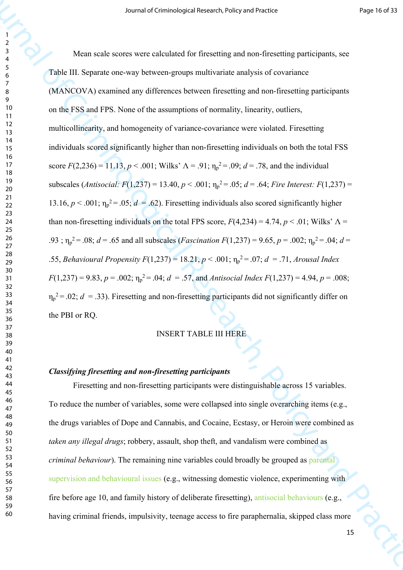Source of Cerrostopael stresses velope selections<br>
Your Scher Scher Scher Scher Scher Scher Scher Scher Scher Scher Scher Scher Scher Scher Scher Scher Scher Scher Scher Scher Scher Scher Scher Scher Scher Scher Scher Sch Mean scale scores were calculated for firesetting and non-firesetting participants, see Table III. Separate one-way between-groups multivariate analysis of covariance (MANCOVA) examined any differences between firesetting and non-firesetting participants on the FSS and FPS. None of the assumptions of normality, linearity, outliers, multicollinearity, and homogeneity of variance-covariance were violated. Firesetting individuals scored significantly higher than non-firesetting individuals on both the total FSS score  $F(2,236) = 11.13$ ,  $p < .001$ ; Wilks'  $\Lambda = .91$ ;  $\eta_p^2 = .09$ ;  $d = .78$ , and the individual subscales (*Antisocial:*  $F(1,237) = 13.40, p < .001$ ;  $\eta_p^2 = .05$ ;  $d = .64$ ; *Fire Interest:*  $F(1,237) =$ 13.16,  $p < .001$ ;  $\eta_p^2 = .05$ ;  $d = .62$ ). Firesetting individuals also scored significantly higher than non-firesetting individuals on the total FPS score,  $F(4,234) = 4.74$ ,  $p < .01$ ; Wilks'  $\Lambda =$ .93;  $\eta_p^2 = 0.08$ ; *d* = .65 and all subscales (*Fascination F*(1,237) = 9.65, *p* = .002;  $\eta_p^2 = 0.04$ ; *d* = .55, *Behavioural Propensity*  $F(1,237) = 18.21, p < .001$ ;  $\eta_p^2 = .07$ ;  $d = .71,$  *Arousal Index*  $F(1,237) = 9.83, p = .002; \eta_p^2 = .04; d = .57, \text{ and Antisocial Index } F(1,237) = 4.94, p = .008;$  $\eta_p^2$  = .02; *d* = .33). Firesetting and non-firesetting participants did not significantly differ on the PBI or RQ.

## INSERT TABLE III HERE

### *Classifying firesetting and non-firesetting participants*

Firesetting and non-firesetting participants were distinguishable across 15 variables. To reduce the number of variables, some were collapsed into single overarching items (e.g., the drugs variables of Dope and Cannabis, and Cocaine, Ecstasy, or Heroin were combined as *taken any illegal drugs*; robbery, assault, shop theft, and vandalism were combined as *criminal behaviour*). The remaining nine variables could broadly be grouped as parental supervision and behavioural issues (e.g., witnessing domestic violence, experimenting with fire before age 10, and family history of deliberate firesetting), antisocial behaviours (e.g., having criminal friends, impulsivity, teenage access to fire paraphernalia, skipped class more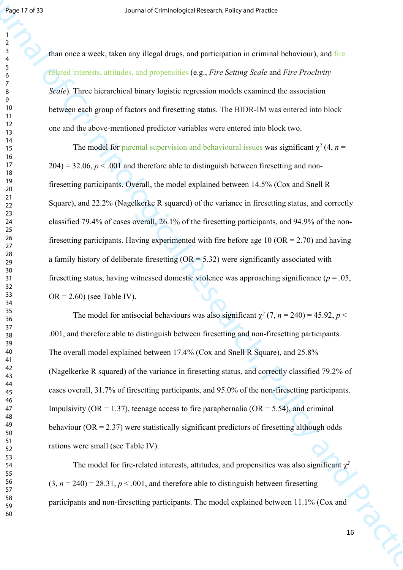than once a week, taken any illegal drugs, and participation in criminal behaviour), and fire related interests, attitudes, and propensities (e.g., *Fire Setting Scale* and *Fire Proclivity Scale*). Three hierarchical binary logistic regression models examined the association between each group of factors and firesetting status. The BIDR-IM was entered into block one and the above-mentioned predictor variables were entered into block two.

**Footh 273**<br> **Source of Criminological Research violing continuous control and the mail of the Criminological Research and the Criminological Research and Practice Criminological Research and Practice Criminological Resea** The model for parental supervision and behavioural issues was significant  $\chi^2$  (4, *n* =  $204 = 32.06$ ,  $p < .001$  and therefore able to distinguish between firesetting and nonfiresetting participants. Overall, the model explained between 14.5% (Cox and Snell R Square), and 22.2% (Nagelkerke R squared) of the variance in firesetting status, and correctly classified 79.4% of cases overall, 26.1% of the firesetting participants, and 94.9% of the nonfiresetting participants. Having experimented with fire before age 10 ( $OR = 2.70$ ) and having a family history of deliberate firesetting  $(OR = 5.32)$  were significantly associated with firesetting status, having witnessed domestic violence was approaching significance ( $p = .05$ ,  $OR = 2.60$ ) (see Table IV).

The model for antisocial behaviours was also significant  $\chi^2$  (7, *n* = 240) = 45.92, *p* < .001, and therefore able to distinguish between firesetting and non-firesetting participants. The overall model explained between 17.4% (Cox and Snell R Square), and 25.8% (Nagelkerke R squared) of the variance in firesetting status, and correctly classified 79.2% of cases overall, 31.7% of firesetting participants, and 95.0% of the non-firesetting participants. Impulsivity ( $OR = 1.37$ ), teenage access to fire paraphernalia ( $OR = 5.54$ ), and criminal behaviour ( $OR = 2.37$ ) were statistically significant predictors of firesetting although odds rations were small (see Table IV).

The model for fire-related interests, attitudes, and propensities was also significant  $\chi^2$  $(3, n = 240) = 28.31, p < .001$ , and therefore able to distinguish between firesetting participants and non-firesetting participants. The model explained between 11.1% (Cox and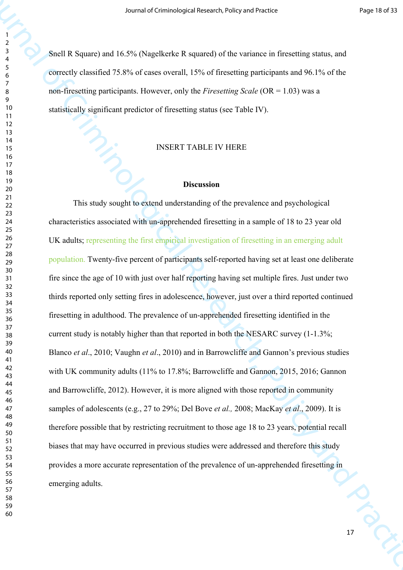Snell R Square) and 16.5% (Nagelkerke R squared) of the variance in firesetting status, and correctly classified 75.8% of cases overall, 15% of firesetting participants and 96.1% of the non-firesetting participants. However, only the *Firesetting Scale* (OR = 1.03) was a statistically significant predictor of firesetting status (see Table IV).

# INSERT TABLE IV HERE

### **Discussion**

Source of Criminological strengths of the strengths and Practice and Practice and Practice and September 1988<br>
The Criminal of Criminal of Criminal of the Section of the Section of Section 2001<br>
The Criminal of Criminal of 10 PCX This study sought to extend understanding of the prevalence and psychological characteristics associated with un-apprehended firesetting in a sample of 18 to 23 year old UK adults; representing the first empirical investigation of firesetting in an emerging adult population. Twenty-five percent of participants self-reported having set at least one deliberate fire since the age of 10 with just over half reporting having set multiple fires. Just under two thirds reported only setting fires in adolescence, however, just over a third reported continued firesetting in adulthood. The prevalence of un-apprehended firesetting identified in the current study is notably higher than that reported in both the NESARC survey (1-1.3%; Blanco *et al*., 2010; Vaughn *et al*., 2010) and in Barrowcliffe and Gannon's previous studies with UK community adults (11% to 17.8%; Barrowcliffe and Gannon, 2015, 2016; Gannon and Barrowcliffe, 2012). However, it is more aligned with those reported in community samples of adolescents (e.g., 27 to 29%; Del Bove *et al.,* 2008; MacKay *et al*., 2009). It is therefore possible that by restricting recruitment to those age 18 to 23 years, potential recall biases that may have occurred in previous studies were addressed and therefore this study provides a more accurate representation of the prevalence of un-apprehended firesetting in emerging adults.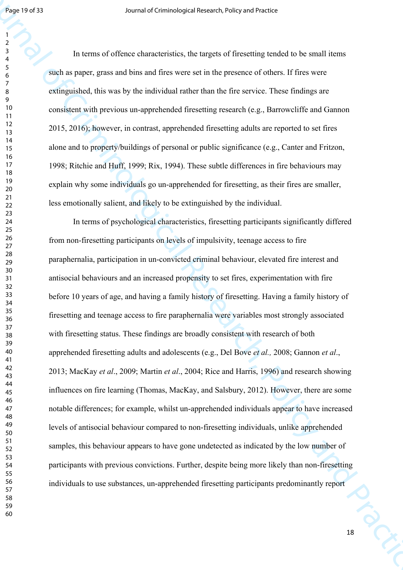In terms of offence characteristics, the targets of firesetting tended to be small items such as paper, grass and bins and fires were set in the presence of others. If fires were extinguished, this was by the individual rather than the fire service. These findings are consistent with previous un-apprehended firesetting research (e.g., Barrowcliffe and Gannon 2015, 2016); however, in contrast, apprehended firesetting adults are reported to set fires alone and to property/buildings of personal or public significance (e.g., Canter and Fritzon, 1998; Ritchie and Huff, 1999; Rix, 1994). These subtle differences in fire behaviours may explain why some individuals go un-apprehended for firesetting, as their fires are smaller, less emotionally salient, and likely to be extinguished by the individual.

Figure 1997<br>33<br>Sources of Criminological Research of Green Bartistics (Research of Figure 1991)<br>and an energy grass and thus sources to the grass of filters of the Criminal Research<br>
of the Corings and Practice Search Res In terms of psychological characteristics, firesetting participants significantly differed from non-firesetting participants on levels of impulsivity, teenage access to fire paraphernalia, participation in un-convicted criminal behaviour, elevated fire interest and antisocial behaviours and an increased propensity to set fires, experimentation with fire before 10 years of age, and having a family history of firesetting. Having a family history of firesetting and teenage access to fire paraphernalia were variables most strongly associated with firesetting status. These findings are broadly consistent with research of both apprehended firesetting adults and adolescents (e.g., Del Bove *et al.,* 2008; Gannon *et al*., 2013; MacKay *et al*., 2009; Martin *et al*., 2004; Rice and Harris, 1996) and research showing influences on fire learning (Thomas, MacKay, and Salsbury, 2012). However, there are some notable differences; for example, whilst un-apprehended individuals appear to have increased levels of antisocial behaviour compared to non-firesetting individuals, unlike apprehended samples, this behaviour appears to have gone undetected as indicated by the low number of participants with previous convictions. Further, despite being more likely than non-firesetting individuals to use substances, un-apprehended firesetting participants predominantly report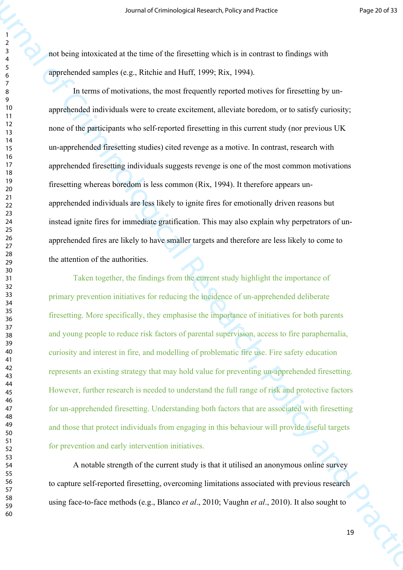not being intoxicated at the time of the firesetting which is in contrast to findings with apprehended samples (e.g., Ritchie and Huff, 1999; Rix, 1994).

Source of Criminological Research (Site) societies the Criminal Research (Site) societies and the Criminal of Criminal of Criminal Criminal Criminal Criminal Criminal Criminal Criminal Criminal Criminal Criminal Criminal In terms of motivations, the most frequently reported motives for firesetting by unapprehended individuals were to create excitement, alleviate boredom, or to satisfy curiosity; none of the participants who self-reported firesetting in this current study (nor previous UK un-apprehended firesetting studies) cited revenge as a motive. In contrast, research with apprehended firesetting individuals suggests revenge is one of the most common motivations firesetting whereas boredom is less common (Rix, 1994). It therefore appears unapprehended individuals are less likely to ignite fires for emotionally driven reasons but instead ignite fires for immediate gratification. This may also explain why perpetrators of unapprehended fires are likely to have smaller targets and therefore are less likely to come to the attention of the authorities.

Taken together, the findings from the current study highlight the importance of primary prevention initiatives for reducing the incidence of un-apprehended deliberate firesetting. More specifically, they emphasise the importance of initiatives for both parents and young people to reduce risk factors of parental supervision, access to fire paraphernalia, curiosity and interest in fire, and modelling of problematic fire use. Fire safety education represents an existing strategy that may hold value for preventing un-apprehended firesetting. However, further research is needed to understand the full range of risk and protective factors for un-apprehended firesetting. Understanding both factors that are associated with firesetting and those that protect individuals from engaging in this behaviour will provide useful targets for prevention and early intervention initiatives.

A notable strength of the current study is that it utilised an anonymous online survey to capture self-reported firesetting, overcoming limitations associated with previous research using face-to-face methods (e.g., Blanco *et al*., 2010; Vaughn *et al*., 2010). It also sought to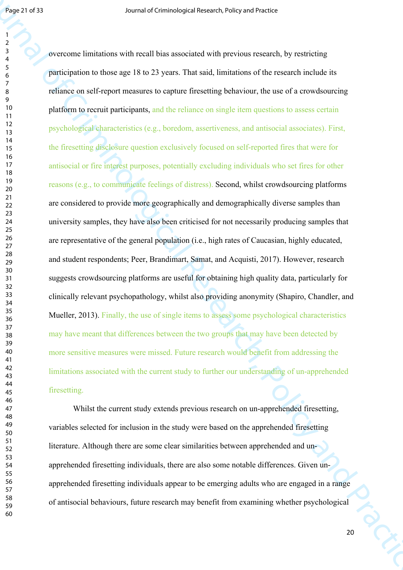**Figure 2733**<br>Sources of Criminological Results that we also be a straighted model of the strength of the strength of the strength of the strength of the strength of the strength of the strength of the strength of the str overcome limitations with recall bias associated with previous research, by restricting participation to those age 18 to 23 years. That said, limitations of the research include its reliance on self-report measures to capture firesetting behaviour, the use of a crowdsourcing platform to recruit participants, and the reliance on single item questions to assess certain psychological characteristics (e.g., boredom, assertiveness, and antisocial associates). First, the firesetting disclosure question exclusively focused on self-reported fires that were for antisocial or fire interest purposes, potentially excluding individuals who set fires for other reasons (e.g., to communicate feelings of distress). Second, whilst crowdsourcing platforms are considered to provide more geographically and demographically diverse samples than university samples, they have also been criticised for not necessarily producing samples that are representative of the general population (i.e., high rates of Caucasian, highly educated, and student respondents; Peer, Brandimart, Samat, and Acquisti, 2017). However, research suggests crowdsourcing platforms are useful for obtaining high quality data, particularly for clinically relevant psychopathology, whilst also providing anonymity (Shapiro, Chandler, and Mueller, 2013). Finally, the use of single items to assess some psychological characteristics may have meant that differences between the two groups that may have been detected by more sensitive measures were missed. Future research would benefit from addressing the limitations associated with the current study to further our understanding of un-apprehended firesetting.

Whilst the current study extends previous research on un-apprehended firesetting. variables selected for inclusion in the study were based on the apprehended firesetting literature. Although there are some clear similarities between apprehended and unapprehended firesetting individuals, there are also some notable differences. Given unapprehended firesetting individuals appear to be emerging adults who are engaged in a range of antisocial behaviours, future research may benefit from examining whether psychological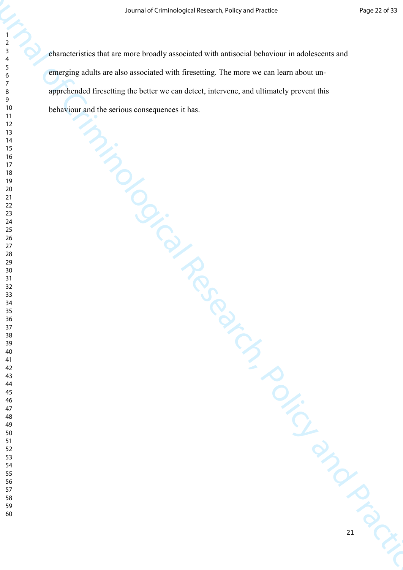Source of Criminological Research (Poly and Practice)<br>
The characteristics that are main broading sourced with mistead behaviour in addressers and<br>
The marginal of the catter with mistead in the search and Practice and Pra characteristics that are more broadly associated with antisocial behaviour in adolescents and emerging adults are also associated with firesetting. The more we can learn about unapprehended firesetting the better we can detect, intervene, and ultimately prevent this behaviour and the serious consequences it has.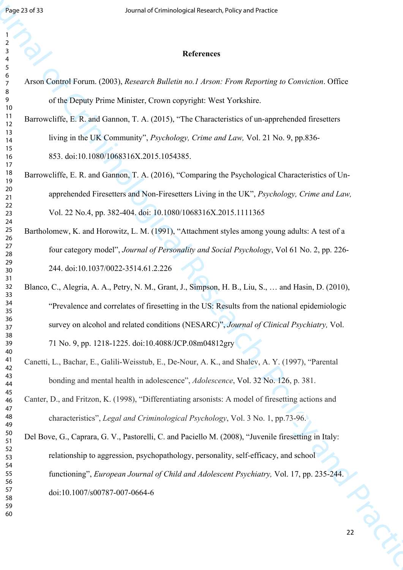| 3                            |
|------------------------------|
| 4                            |
| 5                            |
| 6                            |
|                              |
|                              |
| 8                            |
| $\mathbf$<br>J               |
| 10                           |
| 1<br>1                       |
| 12                           |
|                              |
| $\overline{1}$<br>3          |
| $\overline{14}$              |
| 15                           |
| 16                           |
| 7<br>1                       |
| 18                           |
| 19                           |
|                              |
| 20                           |
| $\overline{21}$              |
| $\overline{2}$<br>2          |
| $\overline{2}$<br>3          |
| $\frac{24}{5}$               |
| 25                           |
|                              |
| 26                           |
| $\frac{27}{2}$               |
| 28                           |
| 29                           |
| 30                           |
| $\overline{\textbf{3}}$      |
| $\overline{\mathbf{3}}$      |
| 2                            |
| $\overline{\mathbf{3}}$<br>3 |
| 34                           |
| 35                           |
| 36                           |
| 37                           |
| 38                           |
|                              |
| 39                           |
| 10                           |
| 41                           |
| 42                           |
| 3<br>$\overline{4}$          |
| 44                           |
| 45                           |
|                              |
| 46                           |
| 47                           |
| 48                           |
| 49                           |
| 50                           |
| 51                           |
| 52                           |
|                              |
| 5.<br>ξ                      |
| 54                           |
| 55                           |
| 56                           |
| 57                           |
| 58                           |
| 59                           |
|                              |

# **References**

| Page 23 of 33                     | Journal of Criminological Research, Policy and Practice                                              |
|-----------------------------------|------------------------------------------------------------------------------------------------------|
| $\overline{\mathbf{c}}$<br>3<br>5 | <b>References</b>                                                                                    |
| 6<br>$\boldsymbol{7}$             | Arson Control Forum. (2003), Research Bulletin no.1 Arson: From Reporting to Conviction. Office      |
| 8<br>9                            | of the Deputy Prime Minister, Crown copyright: West Yorkshire.                                       |
| 10<br>11<br>12                    | Barrowcliffe, E. R. and Gannon, T. A. (2015), "The Characteristics of un-apprehended firesetters     |
| 13<br>14                          | living in the UK Community", <i>Psychology, Crime and Law</i> , Vol. 21 No. 9, pp.836-               |
| 15<br>16                          | 853. doi:10.1080/1068316X.2015.1054385.                                                              |
| 17<br>18<br>19                    | Barrowcliffe, E. R. and Gannon, T. A. (2016), "Comparing the Psychological Characteristics of Un-    |
| 20<br>21                          | apprehended Firesetters and Non-Firesetters Living in the UK", Psychology, Crime and Law,            |
| 22<br>23                          | Vol. 22 No.4, pp. 382-404. doi: 10.1080/1068316X.2015.1111365                                        |
| 24<br>25<br>26                    | Bartholomew, K. and Horowitz, L. M. (1991), "Attachment styles among young adults: A test of a       |
| 27<br>28                          | four category model", Journal of Personality and Social Psychology, Vol 61 No. 2, pp. 226-           |
| 29<br>30                          | 244. doi:10.1037/0022-3514.61.2.226                                                                  |
| 31<br>32<br>33                    | Blanco, C., Alegria, A. A., Petry, N. M., Grant, J., Simpson, H. B., Liu, S.,  and Hasin, D. (2010), |
| 34<br>35                          | "Prevalence and correlates of firesetting in the US: Results from the national epidemiologic         |
| 36<br>37                          | survey on alcohol and related conditions (NESARC)", Journal of Clinical Psychiatry, Vol.             |
| 38<br>39<br>40                    | 71 No. 9, pp. 1218-1225. doi:10.4088/JCP.08m04812gry                                                 |
| 41<br>42                          | Canetti, L., Bachar, E., Galili-Weisstub, E., De-Nour, A. K., and Shalev, A. Y. (1997), "Parental    |
| 43<br>44                          | bonding and mental health in adolescence", Adolescence, Vol. 32 No. 126, p. 381.                     |
| 45<br>46<br>47                    | Canter, D., and Fritzon, K. (1998), "Differentiating arsonists: A model of firesetting actions and   |
| 48<br>49                          | characteristics", Legal and Criminological Psychology, Vol. 3 No. 1, pp.73-96.                       |
| 50<br>51                          | Del Bove, G., Caprara, G. V., Pastorelli, C. and Paciello M. (2008), "Juvenile firesetting in Italy: |
| 52<br>53<br>54                    | relationship to aggression, psychopathology, personality, self-efficacy, and school                  |
| 55<br>56                          | functioning", European Journal of Child and Adolescent Psychiatry, Vol. 17, pp. 235-244.             |
| 57<br>58                          | doi:10.1007/s00787-007-0664-6                                                                        |
| 59<br>60                          |                                                                                                      |
|                                   | 22                                                                                                   |
|                                   |                                                                                                      |
|                                   |                                                                                                      |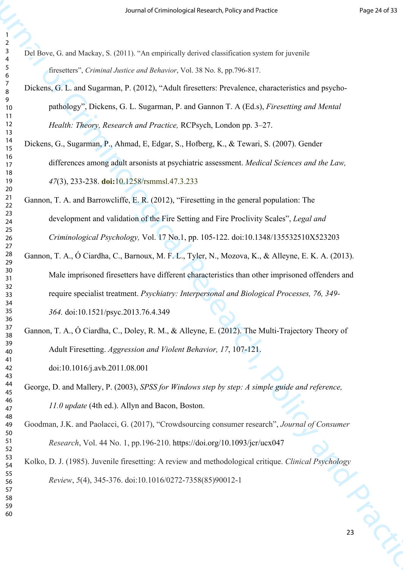| 1<br>2         |                                                                                                |
|----------------|------------------------------------------------------------------------------------------------|
| 3<br>4         | Del Bove, G. and Mackay, S. (2011). "An empirically derived classification system for juvenile |
| 5<br>6         | firesetters", Criminal Justice and Behavior, Vol. 38 No. 8, pp.796-817.                        |
| 7<br>8         | Dickens, G. L. and Sugarman, P. (2012), "Adult firesetters: Prevalence, characteristics a      |
| 9<br>10        | pathology", Dickens, G. L. Sugarman, P. and Gannon T. A (Ed.s), Firesetting an                 |
| 11<br>12<br>13 | Health: Theory, Research and Practice, RCPsych, London pp. 3–27.                               |
| 14<br>15       | Dickens, G., Sugarman, P., Ahmad, E., Edgar, S., Hofberg, K., & Tewari, S. (2007). Gen         |
| 16<br>17       | differences among adult arsonists at psychiatric assessment. Medical Sciences an               |
| 18<br>19<br>20 | 47(3), 233-238. doi:10.1258/rsmmsl.47.3.233                                                    |
| 21<br>22       | Gannon, T. A. and Barrowcliffe, E. R. (2012), "Firesetting in the general population: Th       |
| 23<br>24       | development and validation of the Fire Setting and Fire Proclivity Scales", Legal              |
| 25<br>26<br>27 | Criminological Psychology, Vol. 17 No.1, pp. 105-122. doi:10.1348/1355325102                   |
| 28<br>29       | Gannon, T. A., Ó Ciardha, C., Barnoux, M. F. L., Tyler, N., Mozova, K., & Alleyne, E.          |
| 30<br>31       | Male imprisoned firesetters have different characteristics than other imprisoned of            |
| 32<br>33<br>34 | require specialist treatment. Psychiatry: Interpersonal and Biological Processes,              |
| 35<br>36       | 364. doi:10.1521/psyc.2013.76.4.349                                                            |
| 37<br>38       | Gannon, T. A., Ó Ciardha, C., Doley, R. M., & Alleyne, E. (2012). The Multi-Trajectory         |
| 39<br>40<br>41 | Adult Firesetting. Aggression and Violent Behavior, 17, 107-121.                               |
| 42<br>43       | doi:10.1016/j.avb.2011.08.001                                                                  |
| 44<br>45       | George, D. and Mallery, P. (2003), SPSS for Windows step by step: A simple guide and i         |
| 46<br>47       | 11.0 update (4th ed.). Allyn and Bacon, Boston.                                                |
| 48<br>49<br>50 | Goodman, J.K. and Paolacci, G. (2017), "Crowdsourcing consumer research", Journal of           |
| 51<br>52       | Research, Vol. 44 No. 1, pp.196-210. https://doi.org/10.1093/jcr/ucx047                        |
| 53<br>54       | Kolko, D. J. (1985). Juvenile firesetting: A review and methodological critique. Clinical      |
| 55<br>56<br>57 | Review, 5(4), 345-376. doi:10.1016/0272-7358(85)90012-1                                        |
| 58<br>59       |                                                                                                |
| 60             |                                                                                                |

Source of Criminological Research of Criminological Research of Criminal Criminal Criminal Criminal Criminal Criminal Criminal Criminal Criminal Criminal Criminal Criminal Criminal Criminal Criminal Criminal Criminal Crim and Sugarman, P. (2012), "Adult firesetters: Prevalence, characteristics and psychopathology", Dickens, G. L. Sugarman, P. and Gannon T. A (Ed.s), *Firesetting and Mental Theory, Research and Practice, RCPsych, London pp. 3–27.* igarman, P., Ahmad, E., Edgar, S., Hofberg, K., & Tewari, S. (2007). Gender differences among adult arsonists at psychiatric assessment. *Medical Sciences and the Law,* (3), 233-238. **doi:**10.1258/rsmmsl.47.3.233 and Barrowcliffe, E. R.  $(2012)$ , "Firesetting in the general population: The dependent and validation of the Fire Setting and Fire Proclivity Scales", *Legal and Criminological Psychology,* Vol. 17 No.1, pp. 105-122. doi:10.1348/135532510X523203 Ó Ciardha, C., Barnoux, M. F. L., Tyler, N., Mozova, K., & Alleyne, E. K. A. (2013). mprisoned firesetters have different characteristics than other imprisoned offenders and specialist treatment. *Psychiatry: Interpersonal and Biological Processes, 76, 349-*

 $\acute{o}$  Ciardha, C., Doley, R. M., & Alleyne, E. (2012). The Multi-Trajectory Theory of iresetting. *Aggression and Violent Behavior, 17,* 107-121. doi:10.1016/j.avb.2011.08.001

Mallery, P. (2003), *SPSS for Windows step by step: A simple guide and reference,* date (4th ed.). Allyn and Bacon, Boston.

and Paolacci, G. (2017), "Crowdsourcing consumer research", *Journal of Consumer Research*, Vol. 44 No. 1, pp.196-210. https://doi.org/10.1093/jcr/ucx047

inders 985). Juvenile firesetting: A review and methodological critique. *Clinical Psychology Review*, *5*(4), 345-376. doi:10.1016/0272-7358(85)90012-1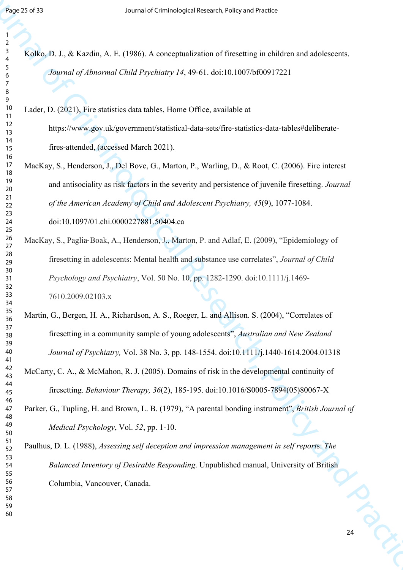| Page 25 of 33                 | Journal of Criminological Research, Policy and Practice                                               |
|-------------------------------|-------------------------------------------------------------------------------------------------------|
|                               |                                                                                                       |
| 2<br>3<br>4                   | Kolko, D. J., & Kazdin, A. E. (1986). A conceptualization of firesetting in children and adolescents. |
| 5<br>6<br>$\overline{7}$<br>8 | Journal of Abnormal Child Psychiatry 14, 49-61. doi:10.1007/bf00917221                                |
| 9<br>10                       | Lader, D. (2021), Fire statistics data tables, Home Office, available at                              |
| 11<br>12<br>13                | https://www.gov.uk/government/statistical-data-sets/fire-statistics-data-tables#deliberate-           |
| 14<br>15                      | fires-attended, (accessed March 2021).                                                                |
| 16<br>17                      | MacKay, S., Henderson, J., Del Bove, G., Marton, P., Warling, D., & Root, C. (2006). Fire interest    |
| 18<br>19<br>20                | and antisociality as risk factors in the severity and persistence of juvenile firesetting. Journal    |
| 21<br>22                      | of the American Academy of Child and Adolescent Psychiatry, 45(9), 1077-1084.                         |
| 23<br>24                      | doi:10.1097/01.chi.0000227881.50404.ca                                                                |
| 25<br>26<br>27                | MacKay, S., Paglia-Boak, A., Henderson, J., Marton, P. and Adlaf, E. (2009), "Epidemiology of         |
| 28<br>29                      | firesetting in adolescents: Mental health and substance use correlates", Journal of Child             |
| 30<br>31                      | <i>Psychology and Psychiatry, Vol. 50 No. 10, pp. 1282-1290. doi:10.1111/j.1469-</i>                  |
| 32<br>33<br>34                | 7610.2009.02103.x                                                                                     |
| 35<br>36                      | Martin, G., Bergen, H. A., Richardson, A. S., Roeger, L. and Allison. S. (2004), "Correlates of       |
| 37<br>38                      | firesetting in a community sample of young adolescents", Australian and New Zealand                   |
| 39<br>40                      | Journal of Psychiatry, Vol. 38 No. 3, pp. 148-1554. doi:10.1111/j.1440-1614.2004.01318                |
| 41<br>42<br>43                | McCarty, C. A., & McMahon, R. J. (2005). Domains of risk in the developmental continuity of           |
| 44<br>45                      | firesetting. Behaviour Therapy, 36(2), 185-195. doi:10.1016/S0005-7894(05)80067-X                     |
| 46<br>47                      | Parker, G., Tupling, H. and Brown, L. B. (1979), "A parental bonding instrument", British Journal of  |
| 48<br>49<br>50                | Medical Psychology, Vol. 52, pp. 1-10.                                                                |
| 51<br>52                      | Paulhus, D. L. (1988), Assessing self deception and impression management in self reports: The        |
| 53<br>54                      | Balanced Inventory of Desirable Responding. Unpublished manual, University of British                 |
| 55<br>56<br>57                | Columbia, Vancouver, Canada.                                                                          |
| 58<br>59                      |                                                                                                       |
| 60                            |                                                                                                       |
|                               | 24                                                                                                    |
|                               |                                                                                                       |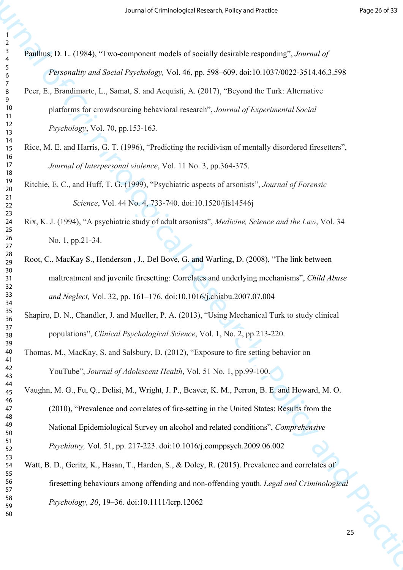| ,              |                         |
|----------------|-------------------------|
| ξ              |                         |
|                |                         |
| 4              |                         |
|                |                         |
| 5              |                         |
| 6              |                         |
|                |                         |
|                |                         |
| 8              |                         |
|                |                         |
| $\mathbf$<br>) |                         |
|                |                         |
|                | 10                      |
| 1              | 1                       |
|                |                         |
|                | 12                      |
| $\mathbf{1}$   | ξ                       |
|                |                         |
|                | $\overline{14}$         |
|                | 15                      |
|                |                         |
|                | 16                      |
| 1              | $\overline{7}$          |
|                |                         |
|                | 18                      |
|                |                         |
|                | 19                      |
|                | 20                      |
|                |                         |
|                | $\overline{21}$         |
| $\overline{2}$ | 2                       |
|                |                         |
| $\overline{2}$ | 3                       |
|                | $\frac{24}{3}$          |
|                |                         |
|                | 25                      |
|                |                         |
|                | 26                      |
|                | $^{27}$                 |
|                |                         |
|                | 28                      |
|                | 29                      |
|                |                         |
|                | 30                      |
|                |                         |
|                | $\overline{\textbf{3}}$ |
| ś              | 2                       |
|                |                         |
| 3              | ξ                       |
|                | 34                      |
|                |                         |
|                | 35                      |
|                |                         |
|                | 86                      |
| š              | 7                       |
|                |                         |
|                | 38                      |
| 3s             |                         |
|                |                         |
|                | 40                      |
| 41             |                         |
|                |                         |
| 42             |                         |
| $\overline{4}$ | 3                       |
|                |                         |
| 44             |                         |
|                |                         |
| 45             |                         |
| 46             |                         |
|                |                         |
| 47             |                         |
| 48             |                         |
|                |                         |
| 49             |                         |
|                |                         |
| 50             |                         |
| 51             |                         |
|                |                         |
| 52             |                         |
| 5.             | 3                       |
|                |                         |
|                | 54                      |
|                |                         |
| 55             |                         |
| 56             |                         |
|                |                         |
| 57             |                         |
|                | 58                      |
|                |                         |
|                | 59                      |
|                | 60                      |
|                |                         |

Source of Criminological Research of Section Priorities (Section Research)<br>
Frame D. (1984), "Two computers translate of versility desirable requireding", starting of<br>
Practices of Criminology and 46 per sine can be in a Paulhus, D. L. (1984), "Two-component models of socially desirable responding", *Journal of Personality and Social Psychology,* Vol. 46, pp. 598–609. doi:10.1037/0022-3514.46.3.598 Peer, E., Brandimarte, L., Samat, S. and Acquisti, A. (2017), "Beyond the Turk: Alternative platforms for crowdsourcing behavioral research", *Journal of Experimental Social Psychology*, Vol. 70, pp.153-163. Rice, M. E. and Harris, G. T. (1996), "Predicting the recidivism of mentally disordered firesetters", *Journal of Interpersonal violence*, Vol. 11 No. 3, pp.364-375.

Ritchie, E. C., and Huff, T. G. (1999), "Psychiatric aspects of arsonists", *Journal of Forensic Science*, Vol. 44 No. 4, 733-740. doi:10.1520/jfs14546j

Rix, K. J. (1994), "A psychiatric study of adult arsonists", *Medicine, Science and the Law*, Vol. 34 No. 1, pp.21-34.

- Root, C., MacKay S., Henderson , J., Del Bove, G. and Warling, D. (2008), "The link between maltreatment and juvenile firesetting: Correlates and underlying mechanisms", *Child Abuse and Neglect,* Vol. 32, pp. 161–176. doi:10.1016/j.chiabu.2007.07.004
- Shapiro, D. N., Chandler, J. and Mueller, P. A. (2013), "Using Mechanical Turk to study clinical populations", *Clinical Psychological Science*, Vol. 1, No. 2, pp.213-220.
- Thomas, M., MacKay, S. and Salsbury, D. (2012), "Exposure to fire setting behavior on YouTube", *Journal of Adolescent Health*, Vol. 51 No. 1, pp.99-100.

Vaughn, M. G., Fu, Q., Delisi, M., Wright, J. P., Beaver, K. M., Perron, B. E. and Howard, M. O. (2010), "Prevalence and correlates of fire-setting in the United States: Results from the National Epidemiological Survey on alcohol and related conditions", *Comprehensive Psychiatry,* Vol. 51, pp. 217-223. doi:10.1016/j.comppsych.2009.06.002

Watt, B. D., Geritz, K., Hasan, T., Harden, S., & Doley, R. (2015). Prevalence and correlates of firesetting behaviours among offending and non-offending youth. *Legal and Criminological Psychology, 20*, 19–36. doi:10.1111/lcrp.12062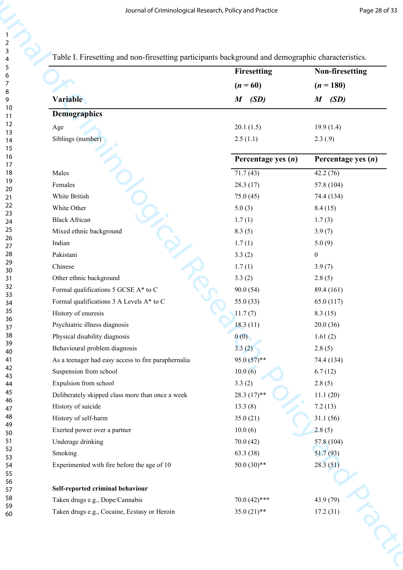|                                                     | Table I. Firesetting and non-firesetting participants background and demographic characteristics. |                          |
|-----------------------------------------------------|---------------------------------------------------------------------------------------------------|--------------------------|
|                                                     | Firesetting                                                                                       | Non-firesetting          |
|                                                     | $(n = 60)$                                                                                        | $(n = 180)$              |
| Variable                                            | (SD)<br>$\boldsymbol{M}$                                                                          | (SD)<br>$\boldsymbol{M}$ |
| <b>Demographics</b>                                 |                                                                                                   |                          |
| Age                                                 | 20.1(1.5)                                                                                         | 19.9(1.4)                |
| Siblings (number)                                   | 2.5(1.1)                                                                                          | 2.3(.9)                  |
|                                                     | Percentage yes $(n)$                                                                              | Percentage yes $(n)$     |
| Males                                               | 71.7(43)                                                                                          | 42.2(76)                 |
| Females                                             | 28.3(17)                                                                                          | 57.8 (104)               |
| White British                                       | 75.0(45)                                                                                          | 74.4 (134)               |
| White Other                                         | 5.0(3)                                                                                            | 8.4(15)                  |
| <b>Black African</b>                                | 1.7(1)                                                                                            | 1.7(3)                   |
| Mixed ethnic background                             | 8.3(5)                                                                                            | 3.9(7)                   |
| Indian                                              | 1.7(1)                                                                                            | 5.0(9)                   |
| Pakistani                                           | 3.3(2)                                                                                            | $\boldsymbol{0}$         |
| Chinese                                             | 1.7(1)                                                                                            | 3.9(7)                   |
| Other ethnic background                             | 3.3(2)                                                                                            | 2.8(5)                   |
| Formal qualifications 5 GCSE A* to C                | 90.0(54)                                                                                          | 89.4 (161)               |
| Formal qualifications 3 A Levels A* to C            | 55.0 $(33)$                                                                                       | 65.0 (117)               |
| History of enuresis                                 | 11.7(7)                                                                                           | 8.3(15)                  |
| Psychiatric illness diagnosis                       | 18.3(11)                                                                                          | 20.0(36)                 |
| Physical disability diagnosis                       | 0(0)                                                                                              | 1.61(2)                  |
| Behavioural problem diagnosis                       | 3.3(2)                                                                                            | 2.8(5)                   |
| As a teenager had easy access to fire paraphernalia | $95.0(57)$ **                                                                                     | 74.4 (134)               |
| Suspension from school                              | 10.0(6)                                                                                           | 6.7(12)                  |
| Expulsion from school                               | 3.3(2)                                                                                            | 2.8(5)                   |
| Deliberately skipped class more than once a week    | $28.3(17)$ **                                                                                     | 11.1(20)                 |
| History of suicide                                  | 13.3(8)                                                                                           | 7.2(13)                  |
| History of self-harm                                | 35.0(21)                                                                                          | 31.1(56)                 |
| Exerted power over a partner                        | 10.0(6)                                                                                           | 2.8(5)                   |
| Underage drinking                                   | 70.0(42)                                                                                          | 57.8 (104)               |
| Smoking                                             | 63.3 (38)                                                                                         | 51.7(93)                 |
| Experimented with fire before the age of 10         | $50.0(30)$ **                                                                                     | 28.3(51)                 |
| Self-reported criminal behaviour                    |                                                                                                   |                          |
| Taken drugs e.g., Dope/Cannabis                     | $70.0(42)$ ***                                                                                    | 43.9 (79)                |
| Taken drugs e.g., Cocaine, Ecstasy or Heroin        | $35.0(21)$ **                                                                                     | 17.2(31)                 |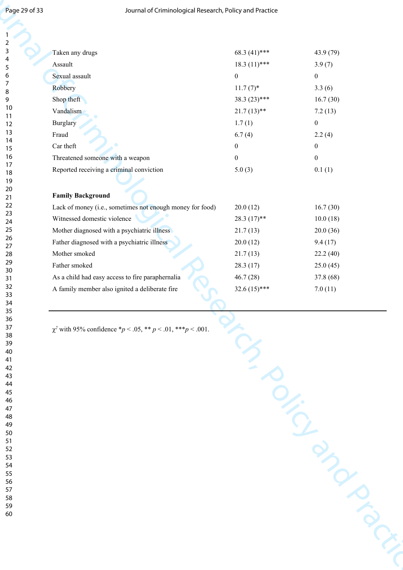| Page 29 of 33    | Journal of Criminological Research, Policy and Practice         |                  |                  |
|------------------|-----------------------------------------------------------------|------------------|------------------|
|                  |                                                                 |                  |                  |
|                  |                                                                 |                  |                  |
| 2                |                                                                 |                  |                  |
| 3                | Taken any drugs                                                 | 68.3 (41)***     | 43.9 (79)        |
| 4<br>5           | Assault                                                         | $18.3(11)$ ***   | 3.9(7)           |
| 6                | Sexual assault                                                  | $\boldsymbol{0}$ | $\boldsymbol{0}$ |
| $\boldsymbol{7}$ | Robbery                                                         | $11.7(7)$ *      | 3.3(6)           |
| 8<br>9           | Shop theft                                                      | $38.3(23)$ ***   | 16.7(30)         |
| 10               | Vandalism                                                       | $21.7(13)$ **    |                  |
| 11               |                                                                 |                  | 7.2(13)          |
| 12<br>13         | Burglary                                                        | 1.7(1)           | $\boldsymbol{0}$ |
| 14               | Fraud                                                           | 6.7(4)           | 2.2(4)           |
| 15               | Car theft                                                       | $\boldsymbol{0}$ | $\boldsymbol{0}$ |
| 16<br>17         | Threatened someone with a weapon                                | $\boldsymbol{0}$ | $\boldsymbol{0}$ |
| 18               | Reported receiving a criminal conviction                        | 5.0(3)           | 0.1(1)           |
| 19               |                                                                 |                  |                  |
| 20<br>21         | <b>Family Background</b>                                        |                  |                  |
| 22               | Lack of money (i.e., sometimes not enough money for food)       | 20.0(12)         | 16.7(30)         |
| 23               | Witnessed domestic violence                                     | $28.3(17)$ **    | 10.0(18)         |
| 24<br>25         | Mother diagnosed with a psychiatric illness                     | 21.7(13)         | 20.0(36)         |
| 26               |                                                                 |                  |                  |
| 27               | Father diagnosed with a psychiatric illness                     | 20.0(12)         | 9.4(17)          |
| 28<br>29         | Mother smoked                                                   | 21.7(13)         | 22.2(40)         |
| 30               | Father smoked                                                   | 28.3(17)         | 25.0(45)         |
| 31               | As a child had easy access to fire paraphernalia                | 46.7(28)         | 37.8 (68)        |
| 32<br>33         | A family member also ignited a deliberate fire                  | 32.6 $(15)$ ***  | 7.0(11)          |
| 34               |                                                                 |                  |                  |
| 35<br>36         |                                                                 |                  |                  |
| 37               | $\chi^2$ with 95% confidence *p < .05, ** p < .01, ***p < .001. |                  |                  |
| 38               |                                                                 |                  |                  |
| 39<br>40         |                                                                 |                  |                  |
| 41               |                                                                 |                  |                  |
| 42               |                                                                 |                  |                  |
| 43<br>44         |                                                                 |                  |                  |
| 45               |                                                                 |                  |                  |
| 46               |                                                                 |                  |                  |
| 47<br>48         |                                                                 |                  |                  |
| 49               |                                                                 |                  |                  |
| 50               |                                                                 |                  |                  |
| 51<br>52         |                                                                 |                  |                  |
| 53               |                                                                 |                  |                  |
| 54<br>55         |                                                                 |                  |                  |
| 56               |                                                                 |                  |                  |
| 57               |                                                                 |                  |                  |
| 58<br>59         |                                                                 |                  |                  |
| 60               |                                                                 |                  |                  |
|                  |                                                                 |                  |                  |
|                  |                                                                 |                  |                  |
|                  |                                                                 |                  |                  |
|                  |                                                                 |                  |                  |
|                  |                                                                 |                  |                  |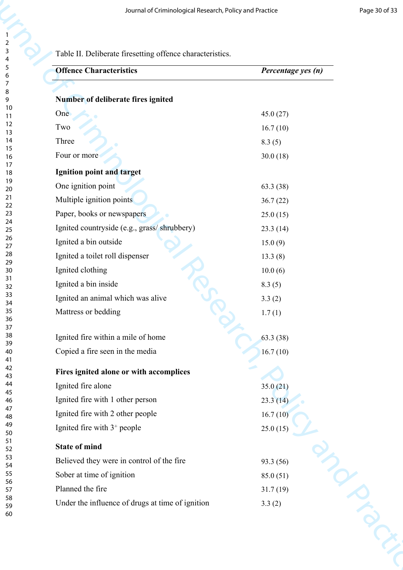|                     | Journal of Criminological Research, Policy and Practice   | Page 30 of 33      |
|---------------------|-----------------------------------------------------------|--------------------|
| $\overline{c}$<br>3 | Table II. Deliberate firesetting offence characteristics. |                    |
| 4<br>5              | <b>Offence Characteristics</b>                            | Percentage yes (n) |
| 6<br>7              |                                                           |                    |
| 8<br>9              | Number of deliberate fires ignited                        |                    |
| 10<br>11            | One                                                       | 45.0(27)           |
| 12                  | Two                                                       | 16.7(10)           |
| 13<br>14            | Three                                                     | 8.3(5)             |
| 15<br>16            | Four or more                                              | 30.0(18)           |
| 17<br>18            | Ignition point and target                                 |                    |
| 19                  | One ignition point                                        | 63.3 (38)          |
| 20<br>21            | Multiple ignition points                                  | 36.7(22)           |
| 22<br>23            | Paper, books or newspapers                                | 25.0(15)           |
| 24<br>25            | Ignited countryside (e.g., grass/shrubbery)               | 23.3(14)           |
| 26                  | Ignited a bin outside                                     | 15.0(9)            |
| 27<br>28            | Ignited a toilet roll dispenser                           | 13.3(8)            |
| 29<br>30            | Ignited clothing                                          | 10.0(6)            |
| 31<br>32            | Ignited a bin inside                                      | 8.3(5)             |
| 33                  | Ignited an animal which was alive                         | 3.3(2)             |
| 34<br>35            | Mattress or bedding                                       | 1.7(1)             |
| 36<br>37            |                                                           |                    |
| 38<br>39            | Ignited fire within a mile of home                        | 63.3(38)           |
| 40                  | Copied a fire seen in the media                           | 16.7(10)           |
| 41<br>42            | Fires ignited alone or with accomplices                   |                    |
| 43<br>44            | Ignited fire alone                                        | 35.0(21)           |
| 45<br>46            | Ignited fire with 1 other person                          | 23.3(14)           |
| 47<br>48            | Ignited fire with 2 other people                          | 16.7(10)           |
| 49                  | Ignited fire with $3^+$ people                            | 25.0(15)           |
| 50<br>51            |                                                           |                    |
| 52<br>53            | <b>State of mind</b>                                      |                    |
| 54<br>55            | Believed they were in control of the fire                 | 93.3 (56)          |
| 56                  | Sober at time of ignition                                 | 85.0(51)           |
| 57<br>58            | Planned the fire                                          | 31.7(19)           |
| 59<br>60            | Under the influence of drugs at time of ignition          | 3.3(2)             |
|                     |                                                           |                    |
|                     |                                                           |                    |
|                     |                                                           |                    |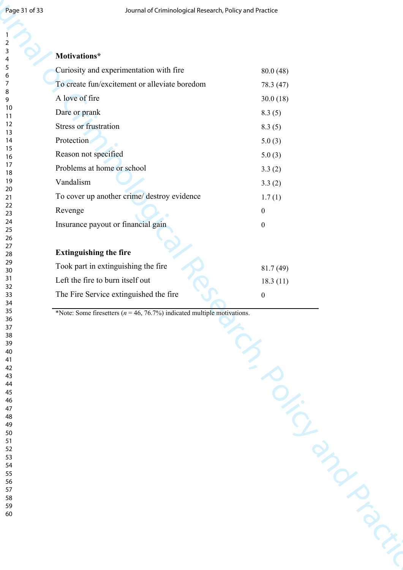| Page 31 of 33 | Journal of Criminological Research, Policy and Practice                      |                  |
|---------------|------------------------------------------------------------------------------|------------------|
|               |                                                                              |                  |
| 2<br>3        | Motivations*                                                                 |                  |
| 4<br>5        | Curiosity and experimentation with fire                                      | 80.0(48)         |
| 6<br>7        | To create fun/excitement or alleviate boredom                                | 78.3 (47)        |
| 8             | A love of fire                                                               | 30.0(18)         |
| 9<br>10       | Dare or prank                                                                | 8.3(5)           |
| 11<br>12      | Stress or frustration                                                        |                  |
| 13<br>14      | Protection                                                                   | 8.3(5)<br>5.0(3) |
| 15            | Reason not specified                                                         | 5.0(3)           |
| 16<br>17      | Problems at home or school                                                   |                  |
| 18<br>19      | Vandalism                                                                    | 3.3(2)<br>3.3(2) |
| 20<br>$21$    | To cover up another crime/ destroy evidence                                  | 1.7(1)           |
| 22            | Revenge                                                                      | $\boldsymbol{0}$ |
| 23<br>24      | Insurance payout or financial gain                                           | $\boldsymbol{0}$ |
| 25<br>26      |                                                                              |                  |
| 27<br>28      | <b>Extinguishing the fire</b>                                                |                  |
| 29            | Took part in extinguishing the fire                                          | 81.7(49)         |
| 30<br>31      | Left the fire to burn itself out                                             | 18.3(11)         |
| 32<br>33      | The Fire Service extinguished the fire                                       | $\boldsymbol{0}$ |
| 34<br>35      |                                                                              |                  |
| $36\,$        | *Note: Some firesetters ( $n = 46, 76.7\%$ ) indicated multiple motivations. |                  |
| $37\,$<br>38  |                                                                              |                  |
| 39<br>40      |                                                                              |                  |
| $41\,$<br>42  |                                                                              |                  |
| 43<br>44      |                                                                              |                  |
| 45            |                                                                              |                  |
| 46<br>47      |                                                                              |                  |
| 48<br>49      |                                                                              |                  |
| 50<br>$51\,$  |                                                                              |                  |
| 52            |                                                                              |                  |
| 53<br>54      |                                                                              |                  |
| 55<br>56      |                                                                              |                  |
| 57            |                                                                              |                  |
| 58<br>59      |                                                                              |                  |
| 60            |                                                                              |                  |
|               |                                                                              |                  |
|               |                                                                              |                  |
|               |                                                                              |                  |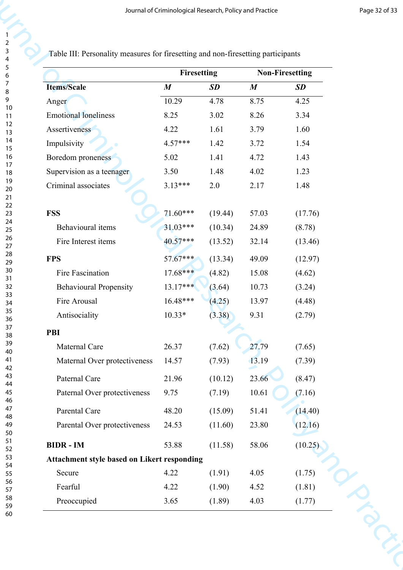|                                                    | Firesetting      |         |                  | <b>Non-Firesetting</b> |
|----------------------------------------------------|------------------|---------|------------------|------------------------|
| <b>Items/Scale</b>                                 | $\boldsymbol{M}$ | SD      | $\boldsymbol{M}$ | <b>SD</b>              |
| Anger                                              | 10.29            | 4.78    | 8.75             | 4.25                   |
| <b>Emotional loneliness</b>                        | 8.25             | 3.02    | 8.26             | 3.34                   |
| Assertiveness                                      | 4.22             | 1.61    | 3.79             | 1.60                   |
| Impulsivity                                        | 4.57***          | 1.42    | 3.72             | 1.54                   |
| Boredom proneness                                  | 5.02             | 1.41    | 4.72             | 1.43                   |
| Supervision as a teenager                          | 3.50             | 1.48    | 4.02             | 1.23                   |
| Criminal associates                                | $3.13***$        | 2.0     | 2.17             | 1.48                   |
| <b>FSS</b>                                         | 71.60***         | (19.44) | 57.03            | (17.76)                |
| Behavioural items                                  | $31.03***$       | (10.34) | 24.89            | (8.78)                 |
| Fire Interest items                                | $40.57***$       | (13.52) | 32.14            | (13.46)                |
| <b>FPS</b>                                         | 57.67***         | (13.34) | 49.09            | (12.97)                |
| Fire Fascination                                   | $17.68***$       | (4.82)  | 15.08            | (4.62)                 |
| <b>Behavioural Propensity</b>                      | $13.17***$       | (3.64)  | 10.73            | (3.24)                 |
| Fire Arousal                                       | 16.48***         | (4.25)  | 13.97            | (4.48)                 |
| Antisociality                                      | $10.33*$         | (3.38)  | 9.31             | (2.79)                 |
| <b>PBI</b>                                         |                  |         |                  |                        |
| Maternal Care                                      | 26.37            | (7.62)  | 27.79            | (7.65)                 |
| Maternal Over protectiveness                       | 14.57            | (7.93)  | 13.19            | (7.39)                 |
| Paternal Care                                      | 21.96            | (10.12) | 23.66            | (8.47)                 |
| Paternal Over protectiveness                       | 9.75             | (7.19)  | $10.61\,$        | (7.16)                 |
| Parental Care                                      | 48.20            | (15.09) | 51.41            | (14.40)                |
| Parental Over protectiveness                       | 24.53            | (11.60) | 23.80            | (12.16)                |
| <b>BIDR</b> - IM                                   | 53.88            | (11.58) | 58.06            | (10.25)                |
| <b>Attachment style based on Likert responding</b> |                  |         |                  |                        |
| Secure                                             | 4.22             | (1.91)  | 4.05             | (1.75)                 |
| Fearful                                            | 4.22             | (1.90)  | 4.52             | (1.81)                 |
| Preoccupied                                        | 3.65             | (1.89)  | 4.03             | (1.77)                 |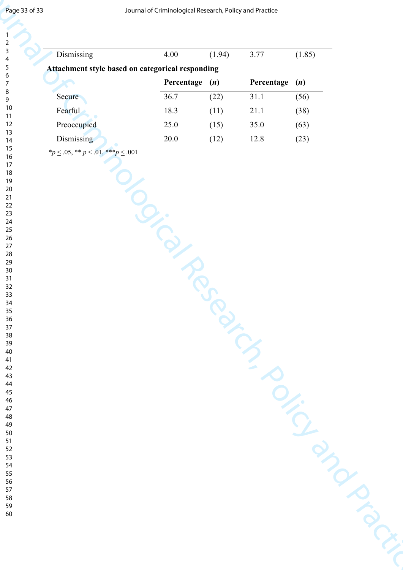| Dismissing                                       | 4.00              | (1.94) | 3.77              | (1.85) |
|--------------------------------------------------|-------------------|--------|-------------------|--------|
| Attachment style based on categorical responding |                   |        |                   |        |
|                                                  | Percentage        | (n)    | Percentage        | (n)    |
| Secure                                           | 36.7              | (22)   | $\overline{3}1.1$ | (56)   |
| Fearful                                          | 18.3              | (11)   | $21.1\,$          | (38)   |
| Preoccupied                                      | 25.0              | (15)   | 35.0              | (63)   |
| Dismissing                                       | 20.0              | (12)   | 12.8              | (23)   |
|                                                  | $\mathcal{Q}_{i}$ |        |                   |        |